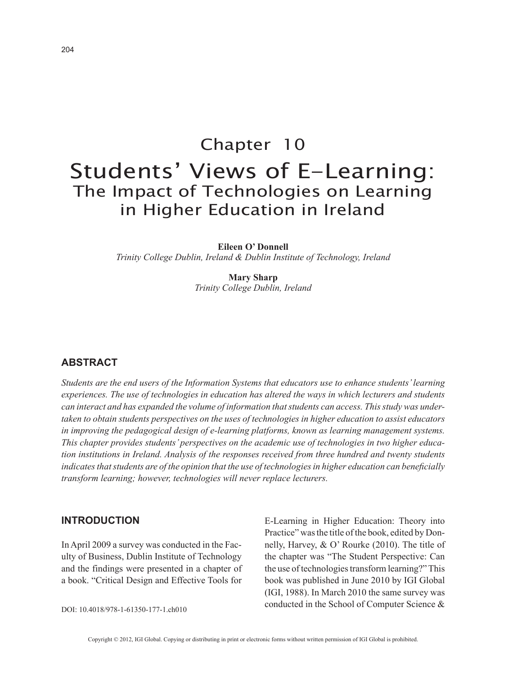# Chapter 10 Students' Views of E-Learning: The Impact of Technologies on Learning in Higher Education in Ireland

**Eileen O' Donnell**

*Trinity College Dublin, Ireland & Dublin Institute of Technology, Ireland*

**Mary Sharp** *Trinity College Dublin, Ireland*

## **ABSTRACT**

*Students are the end users of the Information Systems that educators use to enhance students' learning experiences. The use of technologies in education has altered the ways in which lecturers and students can interact and has expanded the volume of information that students can access. This study was undertaken to obtain students perspectives on the uses of technologies in higher education to assist educators in improving the pedagogical design of e-learning platforms, known as learning management systems. This chapter provides students' perspectives on the academic use of technologies in two higher education institutions in Ireland. Analysis of the responses received from three hundred and twenty students indicates that students are of the opinion that the use of technologies in higher education can beneficially transform learning; however, technologies will never replace lecturers.*

## **INTRODUCTION**

In April 2009 a survey was conducted in the Faculty of Business, Dublin Institute of Technology and the findings were presented in a chapter of a book. "Critical Design and Effective Tools for E-Learning in Higher Education: Theory into Practice" was the title of the book, edited by Donnelly, Harvey, & O' Rourke (2010). The title of the chapter was "The Student Perspective: Can the use of technologies transform learning?" This book was published in June 2010 by IGI Global (IGI, 1988). In March 2010 the same survey was conducted in the School of Computer Science &

DOI: 10.4018/978-1-61350-177-1.ch010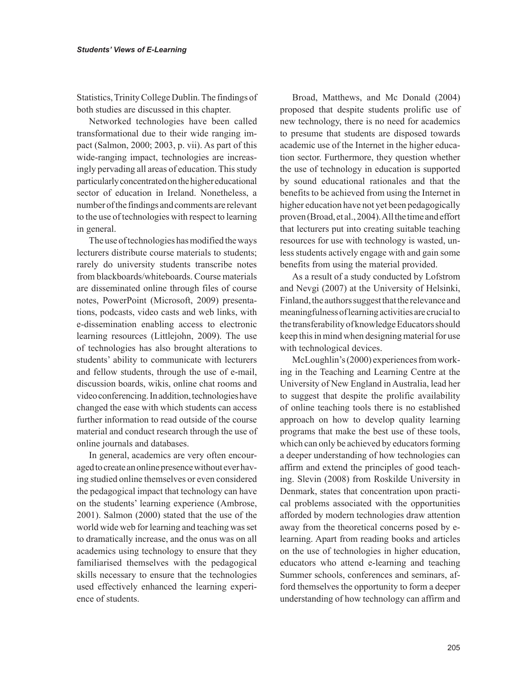Statistics, Trinity College Dublin. The findings of both studies are discussed in this chapter.

Networked technologies have been called transformational due to their wide ranging impact (Salmon, 2000; 2003, p. vii). As part of this wide-ranging impact, technologies are increasingly pervading all areas of education. This study particularly concentrated on the higher educational sector of education in Ireland. Nonetheless, a number of the findings and comments are relevant to the use of technologies with respect to learning in general.

The use of technologies has modified the ways lecturers distribute course materials to students; rarely do university students transcribe notes from blackboards/whiteboards. Course materials are disseminated online through files of course notes, PowerPoint (Microsoft, 2009) presentations, podcasts, video casts and web links, with e-dissemination enabling access to electronic learning resources (Littlejohn, 2009). The use of technologies has also brought alterations to students' ability to communicate with lecturers and fellow students, through the use of e-mail, discussion boards, wikis, online chat rooms and video conferencing. In addition, technologies have changed the ease with which students can access further information to read outside of the course material and conduct research through the use of online journals and databases.

In general, academics are very often encouraged to create an online presence without ever having studied online themselves or even considered the pedagogical impact that technology can have on the students' learning experience (Ambrose, 2001). Salmon (2000) stated that the use of the world wide web for learning and teaching was set to dramatically increase, and the onus was on all academics using technology to ensure that they familiarised themselves with the pedagogical skills necessary to ensure that the technologies used effectively enhanced the learning experience of students.

Broad, Matthews, and Mc Donald (2004) proposed that despite students prolific use of new technology, there is no need for academics to presume that students are disposed towards academic use of the Internet in the higher education sector. Furthermore, they question whether the use of technology in education is supported by sound educational rationales and that the benefits to be achieved from using the Internet in higher education have not yet been pedagogically proven (Broad, et al., 2004). All the time and effort that lecturers put into creating suitable teaching resources for use with technology is wasted, unless students actively engage with and gain some benefits from using the material provided.

As a result of a study conducted by Lofstrom and Nevgi (2007) at the University of Helsinki, Finland, the authors suggest that the relevance and meaningfulness of learning activities are crucial to the transferability of knowledge Educators should keep this in mind when designing material for use with technological devices.

McLoughlin's (2000) experiences from working in the Teaching and Learning Centre at the University of New England in Australia, lead her to suggest that despite the prolific availability of online teaching tools there is no established approach on how to develop quality learning programs that make the best use of these tools, which can only be achieved by educators forming a deeper understanding of how technologies can affirm and extend the principles of good teaching. Slevin (2008) from Roskilde University in Denmark, states that concentration upon practical problems associated with the opportunities afforded by modern technologies draw attention away from the theoretical concerns posed by elearning. Apart from reading books and articles on the use of technologies in higher education, educators who attend e-learning and teaching Summer schools, conferences and seminars, afford themselves the opportunity to form a deeper understanding of how technology can affirm and